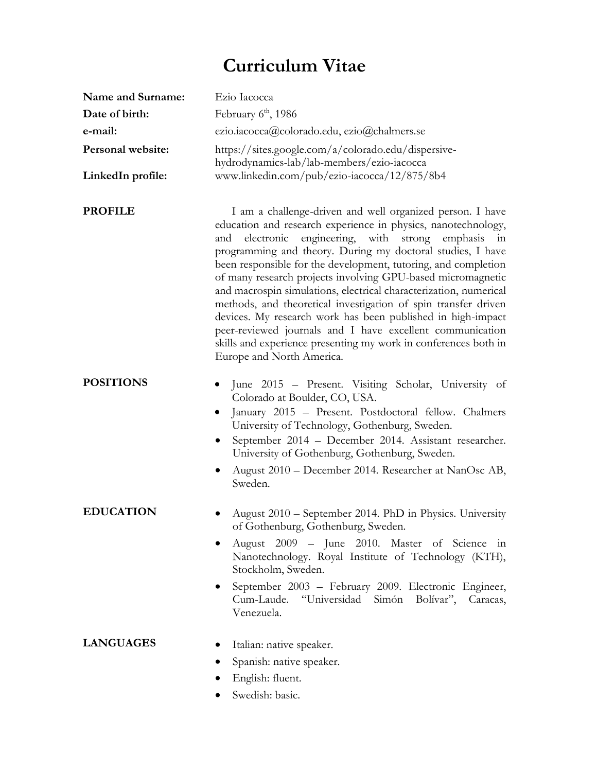# **Curriculum Vitae**

| Name and Surname: | Ezio Iacocca                                                                                                                                                                                                                                                                                                                                                                                                                                                                                                                                                                                                                                                                                                                                           |
|-------------------|--------------------------------------------------------------------------------------------------------------------------------------------------------------------------------------------------------------------------------------------------------------------------------------------------------------------------------------------------------------------------------------------------------------------------------------------------------------------------------------------------------------------------------------------------------------------------------------------------------------------------------------------------------------------------------------------------------------------------------------------------------|
| Date of birth:    | February $6th$ , 1986                                                                                                                                                                                                                                                                                                                                                                                                                                                                                                                                                                                                                                                                                                                                  |
| e-mail:           | ezio.iacocca@colorado.edu, ezio@chalmers.se                                                                                                                                                                                                                                                                                                                                                                                                                                                                                                                                                                                                                                                                                                            |
| Personal website: | https://sites.google.com/a/colorado.edu/dispersive-<br>hydrodynamics-lab/lab-members/ezio-iacocca                                                                                                                                                                                                                                                                                                                                                                                                                                                                                                                                                                                                                                                      |
| LinkedIn profile: | www.linkedin.com/pub/ezio-iacocca/12/875/8b4                                                                                                                                                                                                                                                                                                                                                                                                                                                                                                                                                                                                                                                                                                           |
| <b>PROFILE</b>    | I am a challenge-driven and well organized person. I have<br>education and research experience in physics, nanotechnology,<br>electronic engineering, with strong emphasis in<br>and<br>programming and theory. During my doctoral studies, I have<br>been responsible for the development, tutoring, and completion<br>of many research projects involving GPU-based micromagnetic<br>and macrospin simulations, electrical characterization, numerical<br>methods, and theoretical investigation of spin transfer driven<br>devices. My research work has been published in high-impact<br>peer-reviewed journals and I have excellent communication<br>skills and experience presenting my work in conferences both in<br>Europe and North America. |
| <b>POSITIONS</b>  | June 2015 – Present. Visiting Scholar, University of<br>Colorado at Boulder, CO, USA.<br>January 2015 - Present. Postdoctoral fellow. Chalmers<br>$\bullet$<br>University of Technology, Gothenburg, Sweden.<br>September 2014 - December 2014. Assistant researcher.<br>University of Gothenburg, Gothenburg, Sweden.<br>August 2010 – December 2014. Researcher at NanOsc AB,<br>Sweden.                                                                                                                                                                                                                                                                                                                                                             |
| <b>EDUCATION</b>  | August 2010 – September 2014. PhD in Physics. University<br>of Gothenburg, Gothenburg, Sweden.<br>August 2009 – June 2010. Master of Science in<br>Nanotechnology. Royal Institute of Technology (KTH),<br>Stockholm, Sweden.<br>September 2003 - February 2009. Electronic Engineer,<br>Cum-Laude. "Universidad Simón Bolívar", Caracas,<br>Venezuela.                                                                                                                                                                                                                                                                                                                                                                                                |
| <b>LANGUAGES</b>  | Italian: native speaker.<br>Spanish: native speaker.<br>English: fluent.<br>Swedish: basic.                                                                                                                                                                                                                                                                                                                                                                                                                                                                                                                                                                                                                                                            |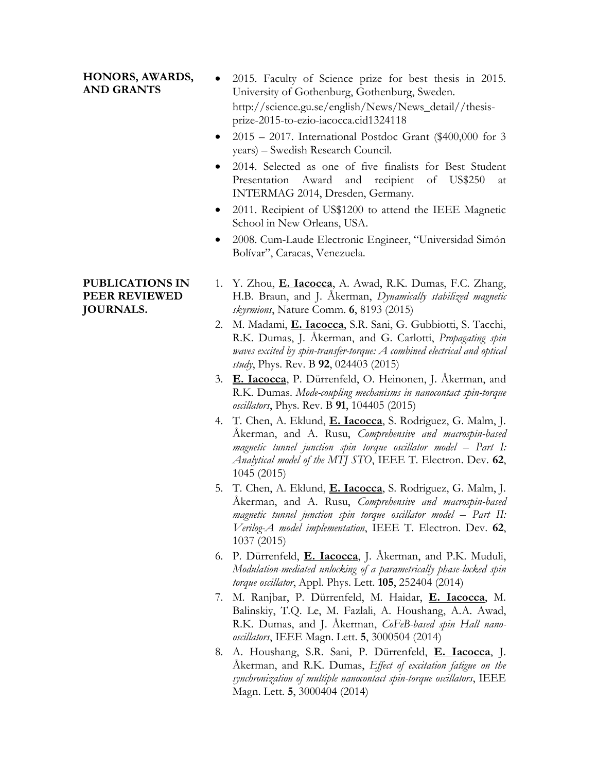# **HONORS, AWARDS, AND GRANTS**

# **PUBLICATIONS IN PEER REVIEWED JOURNALS.**

- 2015. Faculty of Science prize for best thesis in 2015. University of Gothenburg, Gothenburg, Sweden. http://science.gu.se/english/News/News\_detail//thesisprize-2015-to-ezio-iacocca.cid1324118
- 2015 2017. International Postdoc Grant (\$400,000 for 3 years) – Swedish Research Council.
- 2014. Selected as one of five finalists for Best Student Presentation Award and recipient of US\$250 at INTERMAG 2014, Dresden, Germany.
- 2011. Recipient of US\$1200 to attend the IEEE Magnetic School in New Orleans, USA.
- 2008. Cum-Laude Electronic Engineer, "Universidad Simón Bolívar", Caracas, Venezuela.
- 1. Y. Zhou, **E. Iacocca**, A. Awad, R.K. Dumas, F.C. Zhang, H.B. Braun, and J. Åkerman, *Dynamically stabilized magnetic skyrmions*, Nature Comm. **6**, 8193 (2015)
- 2. M. Madami, **E. Iacocca**, S.R. Sani, G. Gubbiotti, S. Tacchi, R.K. Dumas, J. Åkerman, and G. Carlotti, *Propagating spin waves excited by spin-transfer-torque: A combined electrical and optical study*, Phys. Rev. B **92**, 024403 (2015)
- 3. **E. Iacocca**, P. Dürrenfeld, O. Heinonen, J. Åkerman, and R.K. Dumas. *Mode-coupling mechanisms in nanocontact spin-torque oscillators*, Phys. Rev. B **91**, 104405 (2015)
- 4. T. Chen, A. Eklund, **E. Iacocca**, S. Rodriguez, G. Malm, J. Åkerman, and A. Rusu, *Comprehensive and macrospin-based magnetic tunnel junction spin torque oscillator model* – Part I: *Analytical model of the MTJ STO*, IEEE T. Electron. Dev. **62**, 1045 (2015)
- 5. T. Chen, A. Eklund, **E. Iacocca**, S. Rodriguez, G. Malm, J. Åkerman, and A. Rusu, *Comprehensive and macrospin-based magnetic tunnel junction spin torque oscillator model* – Part II: *Verilog-A model implementation*, IEEE T. Electron. Dev. **62**, 1037 (2015)
- 6. P. Dürrenfeld, **E. Iacocca**, J. Åkerman, and P.K. Muduli, *Modulation-mediated unlocking of a parametrically phase-locked spin torque oscillator*, Appl. Phys. Lett. **105**, 252404 (2014)
- 7. M. Ranjbar, P. Dürrenfeld, M. Haidar, **E. Iacocca**, M. Balinskiy, T.Q. Le, M. Fazlali, A. Houshang, A.A. Awad, R.K. Dumas, and J. Åkerman, *CoFeB-based spin Hall nanooscillators*, IEEE Magn. Lett. **5**, 3000504 (2014)
- 8. A. Houshang, S.R. Sani, P. Dürrenfeld, **E. Iacocca**, J. Åkerman, and R.K. Dumas, *Effect of excitation fatigue on the synchronization of multiple nanocontact spin-torque oscillators*, IEEE Magn. Lett. **5**, 3000404 (2014)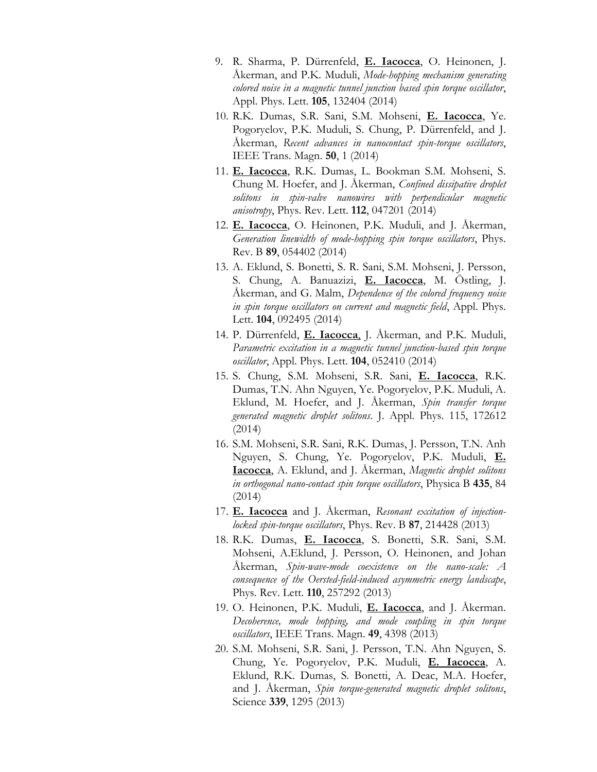- 9. R. Sharma, P. Dürrenfeld, **E. Iacocca**, O. Heinonen, J. Åkerman, and P.K. Muduli, *Mode-hopping mechanism generating colored noise in a magnetic tunnel junction based spin torque oscillator*, Appl. Phys. Lett. **105**, 132404 (2014)
- 10. R.K. Dumas, S.R. Sani, S.M. Mohseni, **E. Iacocca**, Ye. Pogoryelov, P.K. Muduli, S. Chung, P. Dürrenfeld, and J. Åkerman, *Recent advances in nanocontact spin-torque oscillators*, IEEE Trans. Magn. **50**, 1 (2014)
- 11. **E. Iacocca**, R.K. Dumas, L. Bookman S.M. Mohseni, S. Chung M. Hoefer, and J. Åkerman, *Confined dissipative droplet solitons in spin-valve nanowires with perpendicular magnetic anisotropy*, Phys. Rev. Lett. **112**, 047201 (2014)
- 12. **E. Iacocca**, O. Heinonen, P.K. Muduli, and J. Åkerman, *Generation linewidth of mode-hopping spin torque oscillators*, Phys. Rev. B **89**, 054402 (2014)
- 13. A. Eklund, S. Bonetti, S. R. Sani, S.M. Mohseni, J. Persson, S. Chung, A. Banuazizi, **E. Iacocca**, M. Östling, J. Åkerman, and G. Malm, *Dependence of the colored frequency noise in spin torque oscillators on current and magnetic field*, Appl. Phys. Lett. **104**, 092495 (2014)
- 14. P. Dürrenfeld, **E. Iacocca**, J. Åkerman, and P.K. Muduli, *Parametric excitation in a magnetic tunnel junction-based spin torque oscillator*, Appl. Phys. Lett. **104**, 052410 (2014)
- 15. S. Chung, S.M. Mohseni, S.R. Sani, **E. Iacocca**, R.K. Dumas, T.N. Ahn Nguyen, Ye. Pogoryelov, P.K. Muduli, A. Eklund, M. Hoefer, and J. Åkerman, *Spin transfer torque generated magnetic droplet solitons*. J. Appl. Phys. 115, 172612 (2014)
- 16. S.M. Mohseni, S.R. Sani, R.K. Dumas, J. Persson, T.N. Anh Nguyen, S. Chung, Ye. Pogoryelov, P.K. Muduli, **E. Iacocca**, A. Eklund, and J. Åkerman, *Magnetic droplet solitons in orthogonal nano-contact spin torque oscillators*, Physica B **435**, 84 (2014)
- 17. **E. Iacocca** and J. Åkerman, *Resonant excitation of injectionlocked spin-torque oscillators*, Phys. Rev. B **87**, 214428 (2013)
- 18. R.K. Dumas, **E. Iacocca**, S. Bonetti, S.R. Sani, S.M. Mohseni, A.Eklund, J. Persson, O. Heinonen, and Johan Åkerman, *Spin-wave-mode coexistence on the nano-scale: A consequence of the Oersted-field-induced asymmetric energy landscape*, Phys. Rev. Lett. **110**, 257292 (2013)
- 19. O. Heinonen, P.K. Muduli, **E. Iacocca**, and J. Åkerman. *Decoherence, mode hopping, and mode coupling in spin torque oscillators*, IEEE Trans. Magn. **49**, 4398 (2013)
- 20. S.M. Mohseni, S.R. Sani, J. Persson, T.N. Ahn Nguyen, S. Chung, Ye. Pogoryelov, P.K. Muduli, **E. Iacocca**, A. Eklund, R.K. Dumas, S. Bonetti, A. Deac, M.A. Hoefer, and J. Åkerman, *Spin torque-generated magnetic droplet solitons*, Science **339**, 1295 (2013)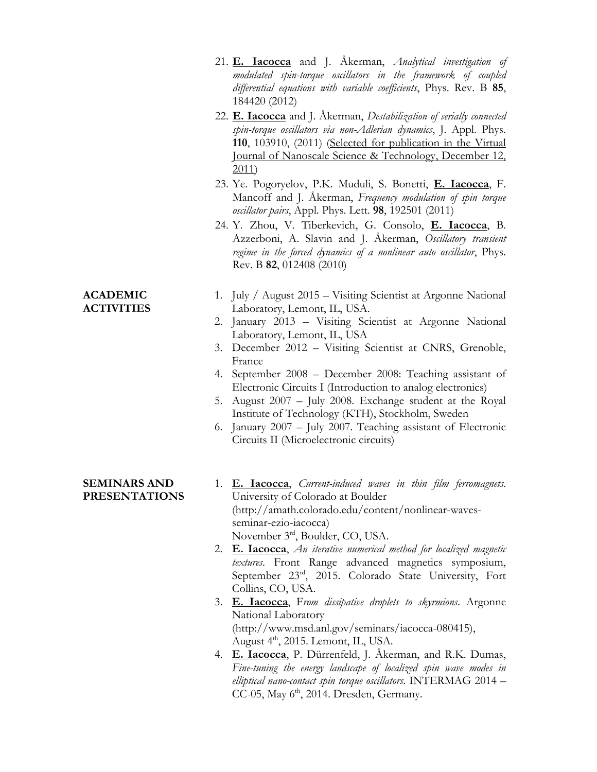- 21. **E. Iacocca** and J. Åkerman, *Analytical investigation of modulated spin-torque oscillators in the framework of coupled differential equations with variable coefficients*, Phys. Rev. B **85**, 184420 (2012)
- 22. **E. Iacocca** and J. Åkerman, *Destabilization of serially connected spin-torque oscillators via non-Adlerian dynamics*, J. Appl. Phys. **110**, 103910, (2011) (Selected for publication in the Virtual Journal of Nanoscale Science & Technology, December 12, 2011)
- 23. Ye. Pogoryelov, P.K. Muduli, S. Bonetti, **E. Iacocca**, F. Mancoff and J. Åkerman, *Frequency modulation of spin torque oscillator pairs*, Appl. Phys. Lett. **98**, 192501 (2011)
- 24. Y. Zhou, V. Tiberkevich, G. Consolo, **E. Iacocca**, B. Azzerboni, A. Slavin and J. Åkerman, *Oscillatory transient regime in the forced dynamics of a nonlinear auto oscillator*, Phys. Rev. B **82**, 012408 (2010)
- 1. July / August 2015 Visiting Scientist at Argonne National Laboratory, Lemont, IL, USA.
- 2. January 2013 Visiting Scientist at Argonne National Laboratory, Lemont, IL, USA
- 3. December 2012 Visiting Scientist at CNRS, Grenoble, France
- 4. September 2008 December 2008: Teaching assistant of Electronic Circuits I (Introduction to analog electronics)
- 5. August 2007 July 2008. Exchange student at the Royal Institute of Technology (KTH), Stockholm, Sweden
- 6. January 2007 July 2007. Teaching assistant of Electronic Circuits II (Microelectronic circuits)

# **SEMINARS AND PRESENTATIONS**

**ACADEMIC ACTIVITIES**

- 1. **E. Iacocca**, *Current-induced waves in thin film ferromagnets*. University of Colorado at Boulder (http://amath.colorado.edu/content/nonlinear-wavesseminar-ezio-iacocca) November 3rd, Boulder, CO, USA.
- 2. **E. Iacocca**, *An iterative numerical method for localized magnetic textures*. Front Range advanced magnetics symposium, September 23<sup>rd</sup>, 2015. Colorado State University, Fort Collins, CO, USA.
- 3. **E. Iacocca**, F*rom dissipative droplets to skyrmions*. Argonne National Laboratory (http://www.msd.anl.gov/seminars/iacocca-080415), August 4<sup>th</sup>, 2015. Lemont, IL, USA.
- 4. **E. Iacocca**, P. Dürrenfeld, J. Åkerman, and R.K. Dumas, *Fine-tuning the energy landscape of localized spin wave modes in elliptical nano-contact spin torque oscillators*. INTERMAG 2014 – CC-05, May 6<sup>th</sup>, 2014. Dresden, Germany.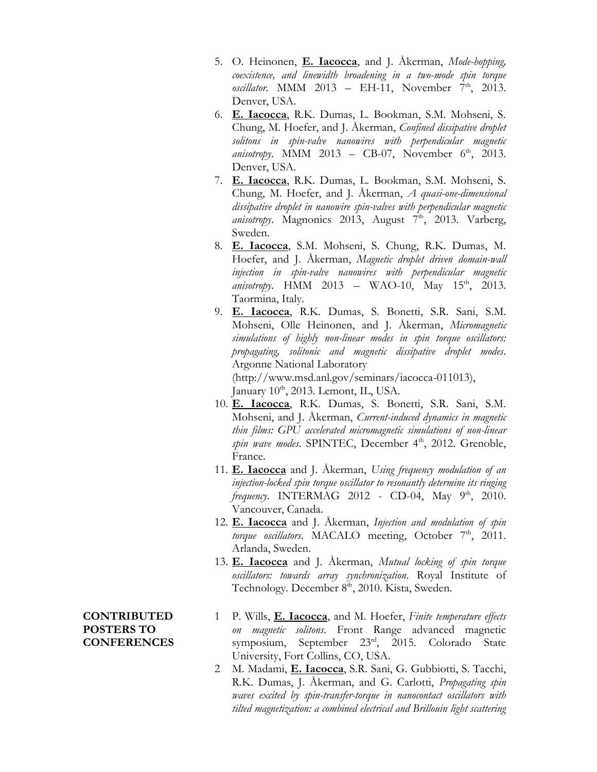- 5. O. Heinonen, **E. Iacocca**, and J. Åkerman, *Mode-hopping, coexistence, and linewidth broadening in a two-mode spin torque*   $\overrightarrow{oscillator}$ . MMM 2013 – EH-11, November  $\overrightarrow{7}$ <sup>th</sup>, 2013. Denver, USA.
- 6. **E. Iacocca**, R.K. Dumas, L. Bookman, S.M. Mohseni, S. Chung, M. Hoefer, and J. Åkerman, *Confined dissipative droplet solitons in spin-valve nanowires with perpendicular magnetic*  anisotropy. MMM 2013 - CB-07, November 6<sup>th</sup>, 2013. Denver, USA.
- 7. **E. Iacocca**, R.K. Dumas, L. Bookman, S.M. Mohseni, S. Chung, M. Hoefer, and J. Åkerman, *A quasi-one-dimensional dissipative droplet in nanowire spin-valves with perpendicular magnetic*  anisotropy. Magnonics 2013, August 7<sup>th</sup>, 2013. Varberg, Sweden.
- 8. **E. Iacocca**, S.M. Mohseni, S. Chung, R.K. Dumas, M. Hoefer, and J. Åkerman, *Magnetic droplet driven domain-wall injection in spin-valve nanowires with perpendicular magnetic anisotropy*. HMM 2013 – WAO-10, May 15<sup>th</sup>, 2013. Taormina, Italy.
- 9. **E. Iacocca**, R.K. Dumas, S. Bonetti, S.R. Sani, S.M. Mohseni, Olle Heinonen, and J. Åkerman, *Micromagnetic simulations of highly non-linear modes in spin torque oscillators: propagating, solitonic and magnetic dissipative droplet modes*. Argonne National Laboratory (http://www.msd.anl.gov/seminars/iacocca-011013), January  $10^{th}$ , 2013. Lemont, IL, USA.
- 10. **E. Iacocca**, R.K. Dumas, S. Bonetti, S.R. Sani, S.M. Mohseni, and J. Åkerman, *Current-induced dynamics in magnetic thin films: GPU accelerated micromagnetic simulations of non-linear spin wave modes.* SPINTEC, December 4<sup>th</sup>, 2012. Grenoble, France.
- 11. **E. Iacocca** and J. Åkerman, *Using frequency modulation of an injection-locked spin torque oscillator to resonantly determine its ringing frequency*. **INTERMAG** 2012 - CD-04, May 9<sup>th</sup>, 2010. Vancouver, Canada.
- 12. **E. Iacocca** and J. Åkerman, *Injection and modulation of spin*  torque oscillators. MACALO meeting, October 7<sup>th</sup>, 2011. Arlanda, Sweden.
- 13. **E. Iacocca** and J. Åkerman, *Mutual locking of spin torque oscillators: towards array synchronization*. Royal Institute of Technology. December 8<sup>th</sup>, 2010. Kista, Sweden.
- 1 P. Wills, **E. Iacocca**, and M. Hoefer, *Finite temperature effects on magnetic solitons*. Front Range advanced magnetic symposium, September 23rd, 2015. Colorado State University, Fort Collins, CO, USA.
- 2 M. Madami, **E. Iacocca**, S.R. Sani, G. Gubbiotti, S. Tacchi, R.K. Dumas, J. Åkerman, and G. Carlotti, *Propagating spin waves excited by spin-transfer-torque in nanocontact oscillators with tilted magnetization: a combined electrical and Brillouin light scattering*

**CONTRIBUTED POSTERS TO CONFERENCES**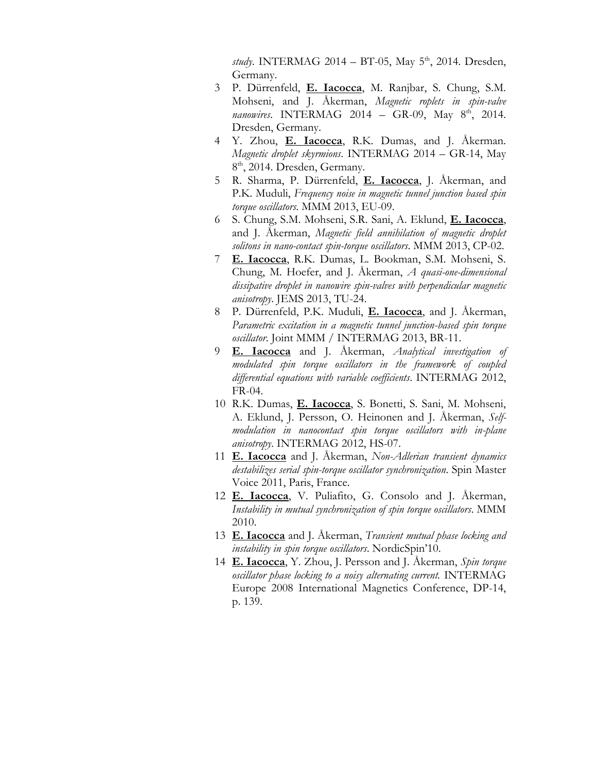study. INTERMAG 2014 - BT-05, May 5<sup>th</sup>, 2014. Dresden, Germany.

- 3 P. Dürrenfeld, **E. Iacocca**, M. Ranjbar, S. Chung, S.M. Mohseni, and J. Åkerman, *Magnetic roplets in spin-valve nanowires.* INTERMAG 2014 – GR-09, May 8<sup>th</sup>, 2014. Dresden, Germany.
- 4 Y. Zhou, **E. Iacocca**, R.K. Dumas, and J. Åkerman. *Magnetic droplet skyrmions*. INTERMAG 2014 – GR-14, May 8<sup>th</sup>, 2014. Dresden, Germany.
- 5 R. Sharma, P. Dürrenfeld, **E. Iacocca**, J. Åkerman, and P.K. Muduli, *Frequency noise in magnetic tunnel junction based spin torque oscillators*. MMM 2013, EU-09.
- 6 S. Chung, S.M. Mohseni, S.R. Sani, A. Eklund, **E. Iacocca**, and J. Åkerman, *Magnetic field annihilation of magnetic droplet solitons in nano-contact spin-torque oscillators*. MMM 2013, CP-02.
- 7 **E. Iacocca**, R.K. Dumas, L. Bookman, S.M. Mohseni, S. Chung, M. Hoefer, and J. Åkerman, *A quasi-one-dimensional dissipative droplet in nanowire spin-valves with perpendicular magnetic anisotropy*. JEMS 2013, TU-24.
- 8 P. Dürrenfeld, P.K. Muduli, **E. Iacocca**, and J. Åkerman, *Parametric excitation in a magnetic tunnel junction-based spin torque oscillator*. Joint MMM / INTERMAG 2013, BR-11.
- 9 **E. Iacocca** and J. Åkerman, *Analytical investigation of modulated spin torque oscillators in the framework of coupled differential equations with variable coefficients*. INTERMAG 2012, FR-04.
- 10 R.K. Dumas, **E. Iacocca**, S. Bonetti, S. Sani, M. Mohseni, A. Eklund, J. Persson, O. Heinonen and J. Åkerman, *Selfmodulation in nanocontact spin torque oscillators with in-plane anisotropy*. INTERMAG 2012, HS-07.
- 11 **E. Iacocca** and J. Åkerman, *Non-Adlerian transient dynamics destabilizes serial spin-torque oscillator synchronization*. Spin Master Voice 2011, Paris, France.
- 12 **E. Iacocca**, V. Puliafito, G. Consolo and J. Åkerman, *Instability in mutual synchronization of spin torque oscillators*. MMM 2010.
- 13 **E. Iacocca** and J. Åkerman, *Transient mutual phase locking and instability in spin torque oscillators*. NordicSpin'10.
- 14 **E. Iacocca**, Y. Zhou, J. Persson and J. Åkerman, *Spin torque oscillator phase locking to a noisy alternating current.* INTERMAG Europe 2008 International Magnetics Conference, DP-14, p. 139.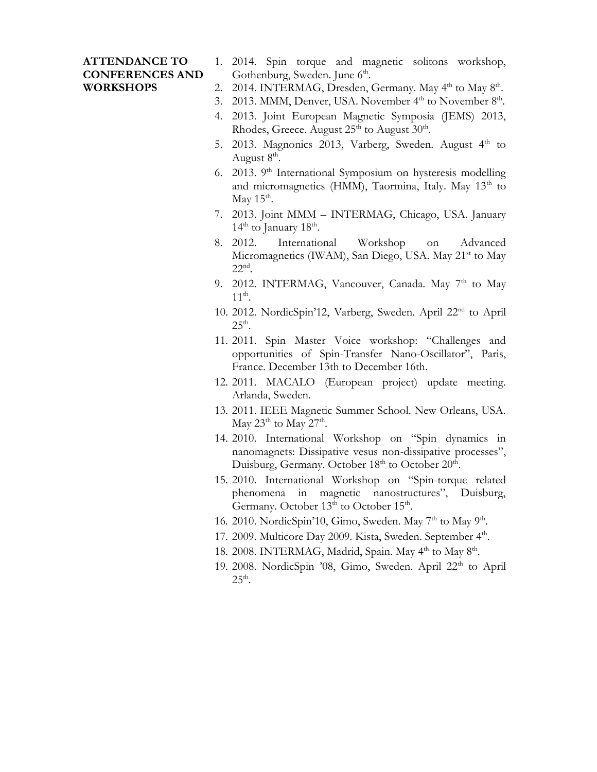# **ATTENDANCE TO CONFERENCES AND WORKSHOPS**

- 1. 2014. Spin torque and magnetic solitons workshop, Gothenburg, Sweden. June 6<sup>th</sup>.
- 2. 2014. INTERMAG, Dresden, Germany. May 4<sup>th</sup> to May 8<sup>th</sup>.
- 3. 2013. MMM, Denver, USA. November  $4<sup>th</sup>$  to November  $8<sup>th</sup>$ .
- 4. 2013. Joint European Magnetic Symposia (JEMS) 2013, Rhodes, Greece. August  $25<sup>th</sup>$  to August  $30<sup>th</sup>$ .
- 5. 2013. Magnonics 2013, Varberg, Sweden. August  $4<sup>th</sup>$  to August 8<sup>th</sup>.
- 6. 2013.  $9<sup>th</sup> International Symposium on hysteresis modelling$ and micromagnetics (HMM), Taormina, Italy. May  $13<sup>th</sup>$  to May  $15^{\text{th}}$ .
- 7. 2013. Joint MMM INTERMAG, Chicago, USA. January  $14<sup>th</sup>$  to January  $18<sup>th</sup>$ .
- 8. 2012. International Workshop on Advanced Micromagnetics (IWAM), San Diego, USA. May 21<sup>st</sup> to May  $22^{\text{nd}}$ .
- 9. 2012. INTERMAG, Vancouver, Canada. May 7<sup>th</sup> to May  $11^{th}$ .
- 10. 2012. NordicSpin'12, Varberg, Sweden. April 22nd to April  $25^{\rm th}$ .
- 11. 2011. Spin Master Voice workshop: "Challenges and opportunities of Spin-Transfer Nano-Oscillator", Paris, France. December 13th to December 16th.
- 12. 2011. MACALO (European project) update meeting. Arlanda, Sweden.
- 13. 2011. IEEE Magnetic Summer School. New Orleans, USA. May 23<sup>th</sup> to May 27<sup>th</sup>.
- 14. 2010. International Workshop on "Spin dynamics in nanomagnets: Dissipative vesus non-dissipative processes", Duisburg, Germany. October 18<sup>th</sup> to October 20<sup>th</sup>.
- 15. 2010. International Workshop on "Spin-torque related phenomena in magnetic nanostructures", Duisburg, Germany. October  $13<sup>th</sup>$  to October  $15<sup>th</sup>$ .
- 16. 2010. NordicSpin'10, Gimo, Sweden. May 7<sup>th</sup> to May 9<sup>th</sup>.
- 17. 2009. Multicore Day 2009. Kista, Sweden. September 4<sup>th</sup>.
- 18. 2008. INTERMAG, Madrid, Spain. May 4<sup>th</sup> to May 8<sup>th</sup>.
- 19. 2008. NordicSpin '08, Gimo, Sweden. April 22<sup>th</sup> to April  $25<sup>th</sup>$ .